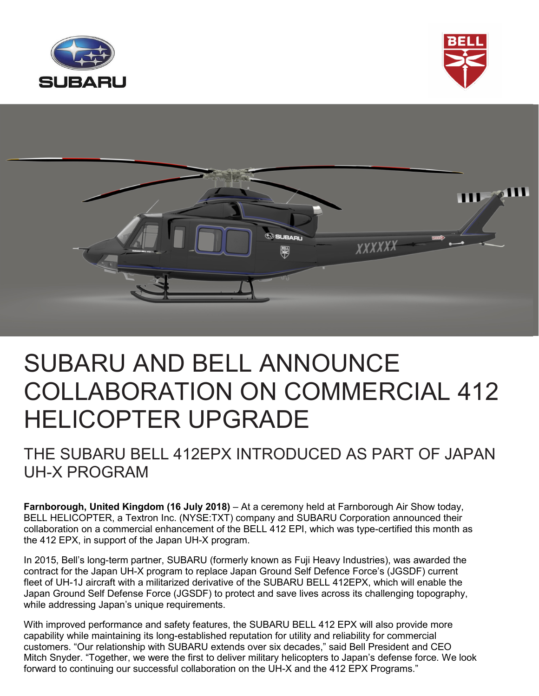





# SUBARU AND BELL ANNOUNCE COLLABORATION ON COMMERCIAL 412 HELICOPTER UPGRADE

### THE SUBARU BELL 412EPX INTRODUCED AS PART OF JAPAN UH-X PROGRAM

**Farnborough, United Kingdom (16 July 2018)** – At a ceremony held at Farnborough Air Show today, BELL HELICOPTER, a Textron Inc. (NYSE:TXT) company and SUBARU Corporation announced their collaboration on a commercial enhancement of the BELL 412 EPI, which was type-certified this month as the 412 EPX, in support of the Japan UH-X program.

In 2015, Bell's long-term partner, SUBARU (formerly known as Fuji Heavy Industries), was awarded the contract for the Japan UH-X program to replace Japan Ground Self Defence Force's (JGSDF) current fleet of UH-1J aircraft with a militarized derivative of the SUBARU BELL 412EPX, which will enable the Japan Ground Self Defense Force (JGSDF) to protect and save lives across its challenging topography, while addressing Japan's unique requirements.

With improved performance and safety features, the SUBARU BELL 412 EPX will also provide more capability while maintaining its long-established reputation for utility and reliability for commercial customers. "Our relationship with SUBARU extends over six decades," said Bell President and CEO Mitch Snyder. "Together, we were the first to deliver military helicopters to Japan's defense force. We look forward to continuing our successful collaboration on the UH-X and the 412 EPX Programs."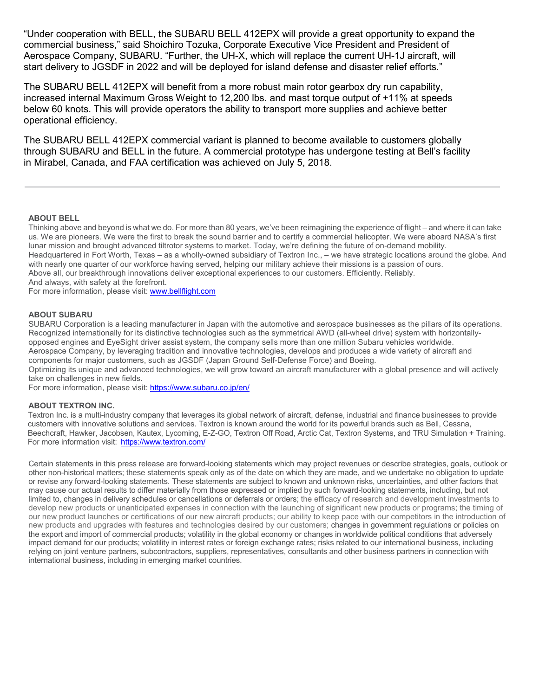"Under cooperation with BELL, the SUBARU BELL 412EPX will provide a great opportunity to expand the commercial business," said Shoichiro Tozuka, Corporate Executive Vice President and President of Aerospace Company, SUBARU. "Further, the UH-X, which will replace the current UH-1J aircraft, will start delivery to JGSDF in 2022 and will be deployed for island defense and disaster relief efforts."

The SUBARU BELL 412EPX will benefit from a more robust main rotor gearbox dry run capability, increased internal Maximum Gross Weight to 12,200 lbs. and mast torque output of +11% at speeds below 60 knots. This will provide operators the ability to transport more supplies and achieve better operational efficiency.

The SUBARU BELL 412EPX commercial variant is planned to become available to customers globally through SUBARU and BELL in the future. A commercial prototype has undergone testing at Bell's facility in Mirabel, Canada, and FAA certification was achieved on July 5, 2018.

#### **ABOUT BELL**

Thinking above and beyond is what we do. For more than 80 years, we've been reimagining the experience of flight – and where it can take us. We are pioneers. We were the first to break the sound barrier and to certify a commercial helicopter. We were aboard NASA's first lunar mission and brought advanced tiltrotor systems to market. Today, we're defining the future of on-demand mobility. Headquartered in Fort Worth, Texas – as a wholly-owned subsidiary of Textron Inc., – we have strategic locations around the globe. And with nearly one quarter of our workforce having served, helping our military achieve their missions is a passion of ours. Above all, our breakthrough innovations deliver exceptional experiences to our customers. Efficiently. Reliably. And always, with safety at the forefront.

For more information, please visit: www.bellflight.com

#### **ABOUT SUBARU**

SUBARU Corporation is a leading manufacturer in Japan with the automotive and aerospace businesses as the pillars of its operations. Recognized internationally for its distinctive technologies such as the symmetrical AWD (all-wheel drive) system with horizontallyopposed engines and EyeSight driver assist system, the company sells more than one million Subaru vehicles worldwide. Aerospace Company, by leveraging tradition and innovative technologies, develops and produces a wide variety of aircraft and components for major customers, such as JGSDF (Japan Ground Self-Defense Force) and Boeing.

Optimizing its unique and advanced technologies, we will grow toward an aircraft manufacturer with a global presence and will actively take on challenges in new fields.

For more information, please visit: https://www.subaru.co.jp/en/

#### **ABOUT TEXTRON INC.**

Textron Inc. is a multi-industry company that leverages its global network of aircraft, defense, industrial and finance businesses to provide customers with innovative solutions and services. Textron is known around the world for its powerful brands such as Bell, Cessna, Beechcraft, Hawker, Jacobsen, Kautex, Lycoming, E-Z-GO, Textron Off Road, Arctic Cat, Textron Systems, and TRU Simulation + Training. For more information visit: https://www.textron.com/

Certain statements in this press release are forward-looking statements which may project revenues or describe strategies, goals, outlook or other non-historical matters; these statements speak only as of the date on which they are made, and we undertake no obligation to update or revise any forward-looking statements. These statements are subject to known and unknown risks, uncertainties, and other factors that may cause our actual results to differ materially from those expressed or implied by such forward-looking statements, including, but not limited to, changes in delivery schedules or cancellations or deferrals or orders; the efficacy of research and development investments to develop new products or unanticipated expenses in connection with the launching of significant new products or programs; the timing of our new product launches or certifications of our new aircraft products; our ability to keep pace with our competitors in the introduction of new products and upgrades with features and technologies desired by our customers; changes in government regulations or policies on the export and import of commercial products; volatility in the global economy or changes in worldwide political conditions that adversely impact demand for our products; volatility in interest rates or foreign exchange rates; risks related to our international business, including relying on joint venture partners, subcontractors, suppliers, representatives, consultants and other business partners in connection with international business, including in emerging market countries.